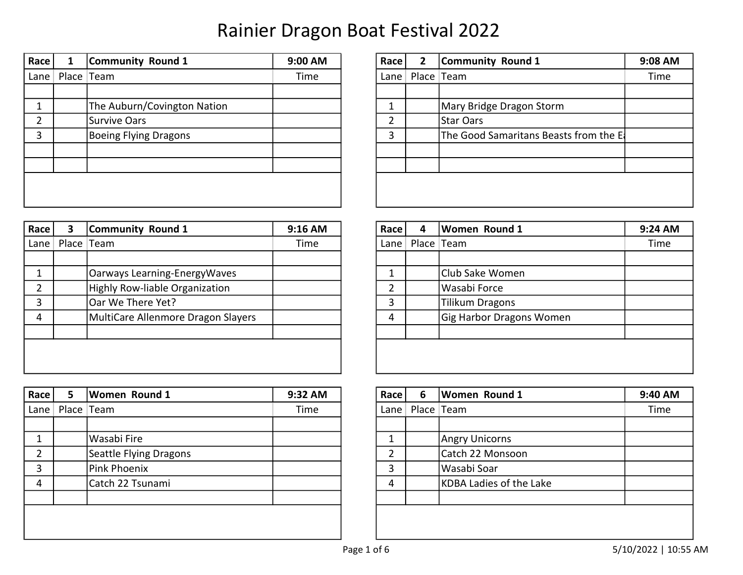| Race | 1                     | Community Round 1            | 9:00 AM | Race | 2 | Community Round 1                     | 9:08 AM |
|------|-----------------------|------------------------------|---------|------|---|---------------------------------------|---------|
|      | Lane   Place $ $ Team |                              | Time    | Lane |   | Place Team                            | Time    |
|      |                       |                              |         |      |   |                                       |         |
|      |                       | The Auburn/Covington Nation  |         |      |   | Mary Bridge Dragon Storm              |         |
|      |                       | Survive Oars                 |         |      |   | Star Oars                             |         |
| 3    |                       | <b>Boeing Flying Dragons</b> |         | 3    |   | The Good Samaritans Beasts from the E |         |
|      |                       |                              |         |      |   |                                       |         |
|      |                       |                              |         |      |   |                                       |         |
|      |                       |                              |         |      |   |                                       |         |
|      |                       |                              |         |      |   |                                       |         |

| Race | $\overline{2}$ | <b>Community Round 1</b>              | 9:08 AM |
|------|----------------|---------------------------------------|---------|
| Lane | Place   Team   |                                       | Time    |
|      |                |                                       |         |
| 1    |                | Mary Bridge Dragon Storm              |         |
| 2    |                | <b>Star Oars</b>                      |         |
| 3    |                | The Good Samaritans Beasts from the E |         |
|      |                |                                       |         |
|      |                |                                       |         |
|      |                |                                       |         |
|      |                |                                       |         |

| Race         | 3 | Community Round 1                  | 9:16 AM | Race   | 4 | <b>Women Round 1</b>     | 9:24 AM |
|--------------|---|------------------------------------|---------|--------|---|--------------------------|---------|
| Lane $\vert$ |   | Place Team                         | Time    | Lane I |   | Place Team               | Time    |
|              |   |                                    |         |        |   |                          |         |
|              |   | Oarways Learning-EnergyWaves       |         |        |   | Club Sake Women          |         |
|              |   | Highly Row-liable Organization     |         |        |   | Wasabi Force             |         |
| 3            |   | Oar We There Yet?                  |         | 3      |   | Tilikum Dragons          |         |
| 4            |   | MultiCare Allenmore Dragon Slayers |         | 4      |   | Gig Harbor Dragons Women |         |
|              |   |                                    |         |        |   |                          |         |
|              |   |                                    |         |        |   |                          |         |
|              |   |                                    |         |        |   |                          |         |

| $ $ Race $ $  | 5                     | <b>Women Round 1</b>   | 9:32 AM | Race     | 6 | <b>Women Round 1</b>    | 9:40 AM |
|---------------|-----------------------|------------------------|---------|----------|---|-------------------------|---------|
|               | Lane   Place $ $ Team |                        | Time    | Lane $ $ |   | Place Team              | Time    |
|               |                       |                        |         |          |   |                         |         |
|               |                       | Wasabi Fire            |         |          |   | <b>Angry Unicorns</b>   |         |
| $\mathcal{D}$ |                       | Seattle Flying Dragons |         | ำ        |   | Catch 22 Monsoon        |         |
| 3             |                       | Pink Phoenix           |         | 3        |   | Wasabi Soar             |         |
| 4             |                       | Catch 22 Tsunami       |         | 4        |   | KDBA Ladies of the Lake |         |
|               |                       |                        |         |          |   |                         |         |
|               |                       |                        |         |          |   |                         |         |
|               |                       |                        |         |          |   |                         |         |
|               |                       |                        |         |          |   |                         |         |

| Race | 4 | <b>Women Round 1</b>     | 9:24 AM |
|------|---|--------------------------|---------|
| Lane |   | Place   Team             | Time    |
|      |   |                          |         |
| 1    |   | Club Sake Women          |         |
| 2    |   | Wasabi Force             |         |
| 3    |   | <b>Tilikum Dragons</b>   |         |
| 4    |   | Gig Harbor Dragons Women |         |
|      |   |                          |         |
|      |   |                          |         |
|      |   |                          |         |

| Race | 6 | Women Round 1           | 9:40 AM |
|------|---|-------------------------|---------|
| Lane |   | Place   Team            | Time    |
|      |   |                         |         |
| 1    |   | <b>Angry Unicorns</b>   |         |
| 2    |   | Catch 22 Monsoon        |         |
| 3    |   | Wasabi Soar             |         |
| 4    |   | KDBA Ladies of the Lake |         |
|      |   |                         |         |
|      |   |                         |         |
|      |   |                         |         |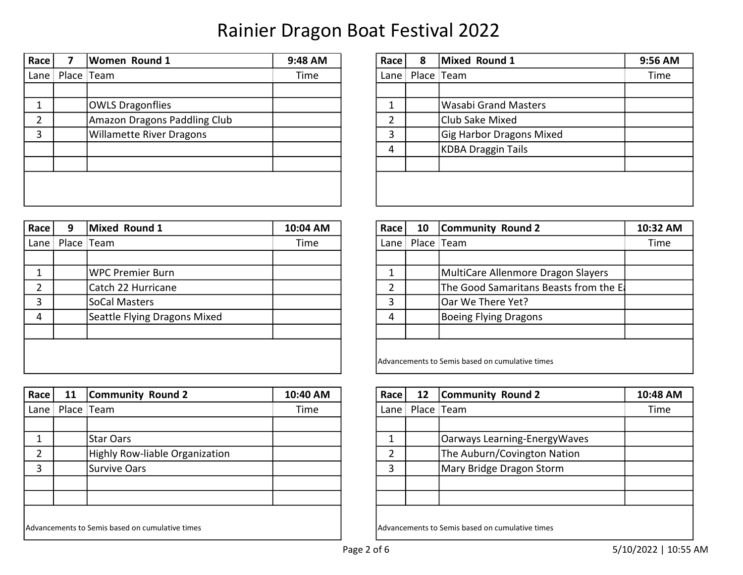| Race | Women Round 1                   | 9:48 AM | Race | 8 | Mixed Round 1                   | 9:56 AM |
|------|---------------------------------|---------|------|---|---------------------------------|---------|
| Lane | Place Team                      | Time    | Lane |   | Place Team                      | Time    |
|      |                                 |         |      |   |                                 |         |
|      | <b>OWLS Dragonflies</b>         |         |      |   | <b>Wasabi Grand Masters</b>     |         |
| ົ    | Amazon Dragons Paddling Club    |         |      |   | Club Sake Mixed                 |         |
| 3    | <b>Willamette River Dragons</b> |         | 3    |   | <b>Gig Harbor Dragons Mixed</b> |         |
|      |                                 |         | 4    |   | KDBA Draggin Tails              |         |
|      |                                 |         |      |   |                                 |         |
|      |                                 |         |      |   |                                 |         |
|      |                                 |         |      |   |                                 |         |

| Race           | 8          | <b>Mixed Round 1</b>            | 9:56 AM |
|----------------|------------|---------------------------------|---------|
| Lane           | Place Team |                                 | Time    |
|                |            |                                 |         |
| 1              |            | <b>Wasabi Grand Masters</b>     |         |
| $\overline{2}$ |            | Club Sake Mixed                 |         |
| 3              |            | <b>Gig Harbor Dragons Mixed</b> |         |
| 4              |            | <b>KDBA Draggin Tails</b>       |         |
|                |            |                                 |         |
|                |            |                                 |         |
|                |            |                                 |         |

| Race<br>9 | Mixed Round 1                | 10:04 AM   | Race | 10 | <b>Community Round 2</b>               | 10:32 AM                                                      |
|-----------|------------------------------|------------|------|----|----------------------------------------|---------------------------------------------------------------|
| Lane      |                              | Time       |      |    |                                        | Time                                                          |
|           |                              |            |      |    |                                        |                                                               |
|           | WPC Premier Burn             |            |      |    | MultiCare Allenmore Dragon Slayers     |                                                               |
|           | Catch 22 Hurricane           |            | ำ    |    | The Good Samaritans Beasts from the El |                                                               |
|           | SoCal Masters                |            | 3    |    | Oar We There Yet?                      |                                                               |
|           | Seattle Flying Dragons Mixed |            | 4    |    | Boeing Flying Dragons                  |                                                               |
|           |                              |            |      |    |                                        |                                                               |
|           |                              |            |      |    |                                        |                                                               |
|           |                              |            |      |    |                                        |                                                               |
|           |                              | Place Team |      |    | Lane                                   | Place Team<br>Advancements to Semis based on cumulative times |

| Race     | 11 | <b>Community Round 2</b>                        | 10:40 AM | Race   | 12 | <b>Community Round 2</b>                        | 10:48 AM |
|----------|----|-------------------------------------------------|----------|--------|----|-------------------------------------------------|----------|
| Lane $ $ |    | Place Team                                      | Time     | Lane I |    | Place Team                                      | Time     |
|          |    |                                                 |          |        |    |                                                 |          |
|          |    | <b>Star Oars</b>                                |          |        |    | Oarways Learning-EnergyWaves                    |          |
|          |    | Highly Row-liable Organization                  |          |        |    | The Auburn/Covington Nation                     |          |
|          |    | Survive Oars                                    |          |        |    | Mary Bridge Dragon Storm                        |          |
|          |    |                                                 |          |        |    |                                                 |          |
|          |    |                                                 |          |        |    |                                                 |          |
|          |    |                                                 |          |        |    |                                                 |          |
|          |    | Advancements to Semis based on cumulative times |          |        |    | Advancements to Semis based on cumulative times |          |

| Race | 10                                              | <b>Community Round 2</b>               | 10:32 AM |  |  |  |  |  |
|------|-------------------------------------------------|----------------------------------------|----------|--|--|--|--|--|
| Lane |                                                 | Place   Team                           | Time     |  |  |  |  |  |
|      |                                                 |                                        |          |  |  |  |  |  |
|      |                                                 | MultiCare Allenmore Dragon Slayers     |          |  |  |  |  |  |
| 2    |                                                 | The Good Samaritans Beasts from the E. |          |  |  |  |  |  |
| 3    |                                                 | Oar We There Yet?                      |          |  |  |  |  |  |
| 4    |                                                 | <b>Boeing Flying Dragons</b>           |          |  |  |  |  |  |
|      |                                                 |                                        |          |  |  |  |  |  |
|      |                                                 |                                        |          |  |  |  |  |  |
|      | Advancements to Semis based on cumulative times |                                        |          |  |  |  |  |  |

| Race           | 12 <sup>2</sup> | <b>Community Round 2</b>     | 10:48 AM |
|----------------|-----------------|------------------------------|----------|
| Lane           | Place Team      |                              | Time     |
|                |                 |                              |          |
|                |                 | Oarways Learning-EnergyWaves |          |
| $\overline{2}$ |                 | The Auburn/Covington Nation  |          |
| 3              |                 | Mary Bridge Dragon Storm     |          |
|                |                 |                              |          |
|                |                 |                              |          |
|                |                 |                              |          |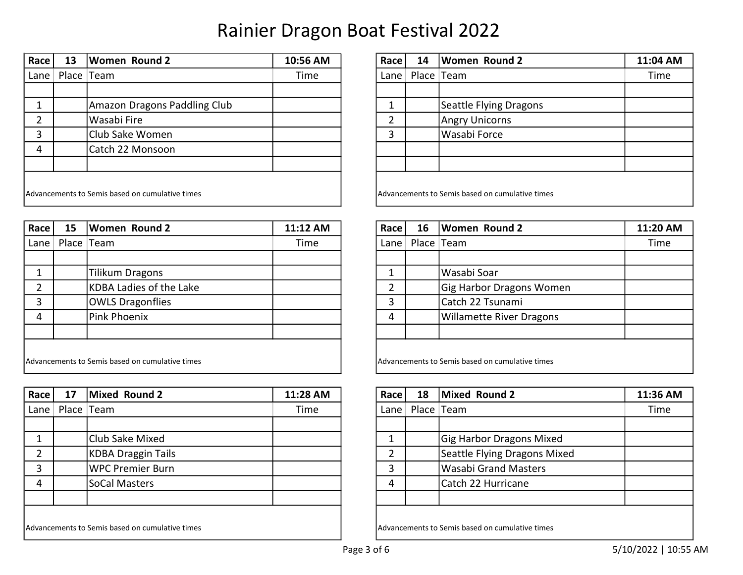| Race                                            | 13 | Women Round 2                | 10:56 AM | Race | 14                                              | <b>Women Round 2</b>   | 11:04 AM |
|-------------------------------------------------|----|------------------------------|----------|------|-------------------------------------------------|------------------------|----------|
| Lane $ $                                        |    | Place Team                   | Time     | Lane |                                                 | Place Team             | Time     |
|                                                 |    |                              |          |      |                                                 |                        |          |
|                                                 |    | Amazon Dragons Paddling Club |          |      |                                                 | Seattle Flying Dragons |          |
|                                                 |    | Wasabi Fire                  |          |      |                                                 | <b>Angry Unicorns</b>  |          |
|                                                 |    | Club Sake Women              |          |      |                                                 | Wasabi Force           |          |
| 4                                               |    | Catch 22 Monsoon             |          |      |                                                 |                        |          |
|                                                 |    |                              |          |      |                                                 |                        |          |
|                                                 |    |                              |          |      |                                                 |                        |          |
| Advancements to Semis based on cumulative times |    |                              |          |      | Advancements to Semis based on cumulative times |                        |          |

| $ $ Race $ $ | 15 | <b>Women Round 2</b>                            | 11:12 AM | Race | 16 | <b>Women Round 2</b>                            | 11:20 A |
|--------------|----|-------------------------------------------------|----------|------|----|-------------------------------------------------|---------|
| Lane         |    | Place Team                                      | Time     | Lane |    | Place Team                                      | Time    |
|              |    |                                                 |          |      |    |                                                 |         |
|              |    | <b>Tilikum Dragons</b>                          |          |      |    | Wasabi Soar                                     |         |
|              |    | KDBA Ladies of the Lake                         |          |      |    | Gig Harbor Dragons Women                        |         |
| 3            |    | <b>OWLS Dragonflies</b>                         |          |      |    | Catch 22 Tsunami                                |         |
| 4            |    | Pink Phoenix                                    |          | 4    |    | <b>Willamette River Dragons</b>                 |         |
|              |    |                                                 |          |      |    |                                                 |         |
|              |    |                                                 |          |      |    |                                                 |         |
|              |    | Advancements to Semis based on cumulative times |          |      |    | Advancements to Semis based on cumulative times |         |

| Race | 17         | Mixed Round 2                                   | 11:28 AM | Race l | 18 | Mixed Round 2                                   | 11:36 AM |
|------|------------|-------------------------------------------------|----------|--------|----|-------------------------------------------------|----------|
| Lane | Place Team |                                                 | Time     | Lane   |    | Place Team                                      | Time     |
|      |            |                                                 |          |        |    |                                                 |          |
|      |            | Club Sake Mixed                                 |          |        |    | <b>Gig Harbor Dragons Mixed</b>                 |          |
|      |            | KDBA Draggin Tails                              |          | ำ      |    | Seattle Flying Dragons Mixed                    |          |
| 3    |            | WPC Premier Burn                                |          | 3      |    | Wasabi Grand Masters                            |          |
| 4    |            | SoCal Masters                                   |          | 4      |    | Catch 22 Hurricane                              |          |
|      |            |                                                 |          |        |    |                                                 |          |
|      |            |                                                 |          |        |    |                                                 |          |
|      |            | Advancements to Semis based on cumulative times |          |        |    | Advancements to Semis based on cumulative times |          |

| Race           | 14 | <b>Women Round 2</b>                            | 11:04 AM |  |  |  |  |  |  |
|----------------|----|-------------------------------------------------|----------|--|--|--|--|--|--|
| Lane           |    | Place   Team                                    | Time     |  |  |  |  |  |  |
|                |    |                                                 |          |  |  |  |  |  |  |
| 1              |    | Seattle Flying Dragons                          |          |  |  |  |  |  |  |
| $\overline{2}$ |    | <b>Angry Unicorns</b>                           |          |  |  |  |  |  |  |
| 3              |    | Wasabi Force                                    |          |  |  |  |  |  |  |
|                |    |                                                 |          |  |  |  |  |  |  |
|                |    |                                                 |          |  |  |  |  |  |  |
|                |    |                                                 |          |  |  |  |  |  |  |
|                |    | Advancements to Semis based on cumulative times |          |  |  |  |  |  |  |

| Race l                                          | 15         | <b>Women Round 2</b>    | 11:12 AM                                        | Race | 16 | <b>Women Round 2</b>            | 11:20 AM |
|-------------------------------------------------|------------|-------------------------|-------------------------------------------------|------|----|---------------------------------|----------|
| Lane $\mathord{\,\mathsf{I}}$                   | Place Team |                         | Time                                            | Lane |    | Place Team                      | Time     |
|                                                 |            |                         |                                                 |      |    |                                 |          |
|                                                 |            | Tilikum Dragons         |                                                 |      |    | Wasabi Soar                     |          |
| $\overline{2}$                                  |            | KDBA Ladies of the Lake |                                                 | ∍    |    | Gig Harbor Dragons Women        |          |
| 3                                               |            | <b>OWLS Dragonflies</b> |                                                 |      |    | Catch 22 Tsunami                |          |
| $\overline{4}$                                  |            | Pink Phoenix            |                                                 | 4    |    | <b>Willamette River Dragons</b> |          |
|                                                 |            |                         |                                                 |      |    |                                 |          |
|                                                 |            |                         |                                                 |      |    |                                 |          |
| Advancements to Semis based on cumulative times |            |                         | Advancements to Semis based on cumulative times |      |    |                                 |          |

| Race          | 18         | Mixed Round 2                | 11:36 AM |
|---------------|------------|------------------------------|----------|
| Lane $ $      | Place Team |                              | Time     |
|               |            |                              |          |
|               |            | Gig Harbor Dragons Mixed     |          |
| $\mathcal{P}$ |            | Seattle Flying Dragons Mixed |          |
| 3             |            | <b>Wasabi Grand Masters</b>  |          |
|               |            | Catch 22 Hurricane           |          |
|               |            |                              |          |
|               |            |                              |          |

Advancements to Semis based on cumulative times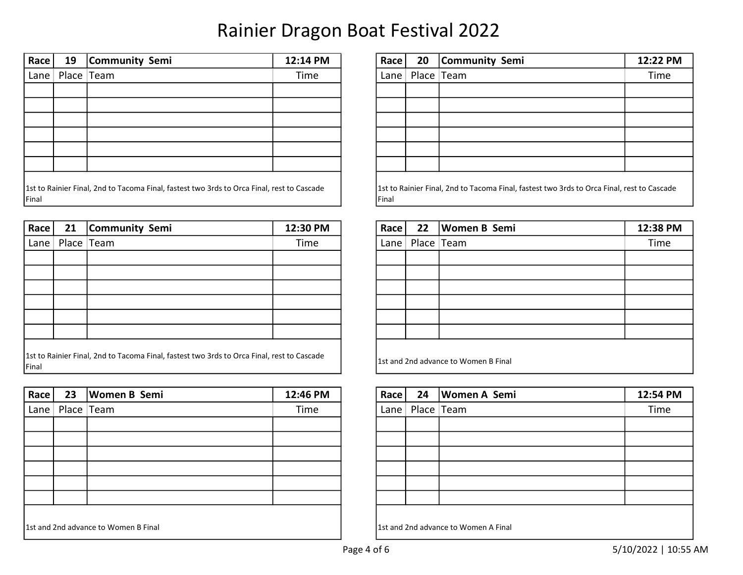| Race                                                                                                | 19 | Community Semi | 12:14 PM | Race         | 20 | Community Semi                                                                             | 12:22 PM |
|-----------------------------------------------------------------------------------------------------|----|----------------|----------|--------------|----|--------------------------------------------------------------------------------------------|----------|
| Lane $ $                                                                                            |    | Place Team     | Time     | Lane $\vert$ |    | Place Team                                                                                 | Time     |
|                                                                                                     |    |                |          |              |    |                                                                                            |          |
|                                                                                                     |    |                |          |              |    |                                                                                            |          |
|                                                                                                     |    |                |          |              |    |                                                                                            |          |
|                                                                                                     |    |                |          |              |    |                                                                                            |          |
|                                                                                                     |    |                |          |              |    |                                                                                            |          |
|                                                                                                     |    |                |          |              |    |                                                                                            |          |
| 1st to Rainier Final, 2nd to Tacoma Final, fastest two 3rds to Orca Final, rest to Cascade<br>Final |    |                |          | Final        |    | 1st to Rainier Final, 2nd to Tacoma Final, fastest two 3rds to Orca Final, rest to Cascade |          |

| Race                                                                                                | 21 | Community Semi | 12:30 PM | Race     | 22 | Women B Semi                          | 12:38 PM |
|-----------------------------------------------------------------------------------------------------|----|----------------|----------|----------|----|---------------------------------------|----------|
| Lane                                                                                                |    | Place Team     | Time     | Lane $ $ |    | Place   Team                          | Time     |
|                                                                                                     |    |                |          |          |    |                                       |          |
|                                                                                                     |    |                |          |          |    |                                       |          |
|                                                                                                     |    |                |          |          |    |                                       |          |
|                                                                                                     |    |                |          |          |    |                                       |          |
|                                                                                                     |    |                |          |          |    |                                       |          |
|                                                                                                     |    |                |          |          |    |                                       |          |
| 1st to Rainier Final, 2nd to Tacoma Final, fastest two 3rds to Orca Final, rest to Cascade<br>Final |    |                |          |          |    | 11st and 2nd advance to Women B Final |          |

| Race                                 | 23                    | <b>Women B Semi</b> | 12:46 PM                             | Race     | 24 | <b>Women A Semi</b> | 12:54 PM |
|--------------------------------------|-----------------------|---------------------|--------------------------------------|----------|----|---------------------|----------|
|                                      | Lane   Place $ $ Team |                     | Time                                 | Lane $ $ |    | Place Team          | Time     |
|                                      |                       |                     |                                      |          |    |                     |          |
|                                      |                       |                     |                                      |          |    |                     |          |
|                                      |                       |                     |                                      |          |    |                     |          |
|                                      |                       |                     |                                      |          |    |                     |          |
|                                      |                       |                     |                                      |          |    |                     |          |
|                                      |                       |                     |                                      |          |    |                     |          |
|                                      |                       |                     |                                      |          |    |                     |          |
| 1st and 2nd advance to Women B Final |                       |                     | 1st and 2nd advance to Women A Final |          |    |                     |          |

| Race                                                                                                | 20           | Community Semi | 12:22 PM |  |  |  |  |
|-----------------------------------------------------------------------------------------------------|--------------|----------------|----------|--|--|--|--|
| Lane                                                                                                | Place   Team |                | Time     |  |  |  |  |
|                                                                                                     |              |                |          |  |  |  |  |
|                                                                                                     |              |                |          |  |  |  |  |
|                                                                                                     |              |                |          |  |  |  |  |
|                                                                                                     |              |                |          |  |  |  |  |
|                                                                                                     |              |                |          |  |  |  |  |
|                                                                                                     |              |                |          |  |  |  |  |
| 1st to Rainier Final, 2nd to Tacoma Final, fastest two 3rds to Orca Final, rest to Cascade<br>Final |              |                |          |  |  |  |  |

| Race | 22                                   | <b>Women B Semi</b> | 12:38 PM |  |  |  |  |  |
|------|--------------------------------------|---------------------|----------|--|--|--|--|--|
| Lane |                                      | Place Team          | Time     |  |  |  |  |  |
|      |                                      |                     |          |  |  |  |  |  |
|      |                                      |                     |          |  |  |  |  |  |
|      |                                      |                     |          |  |  |  |  |  |
|      |                                      |                     |          |  |  |  |  |  |
|      |                                      |                     |          |  |  |  |  |  |
|      |                                      |                     |          |  |  |  |  |  |
|      | 1st and 2nd advance to Women B Final |                     |          |  |  |  |  |  |

| Race     |            | 24   Women A Semi | 12:54 PM |  |  |  |  |  |
|----------|------------|-------------------|----------|--|--|--|--|--|
| Lane $ $ | Place Team |                   | Time     |  |  |  |  |  |
|          |            |                   |          |  |  |  |  |  |
|          |            |                   |          |  |  |  |  |  |
|          |            |                   |          |  |  |  |  |  |
|          |            |                   |          |  |  |  |  |  |
|          |            |                   |          |  |  |  |  |  |
|          |            |                   |          |  |  |  |  |  |
|          |            |                   |          |  |  |  |  |  |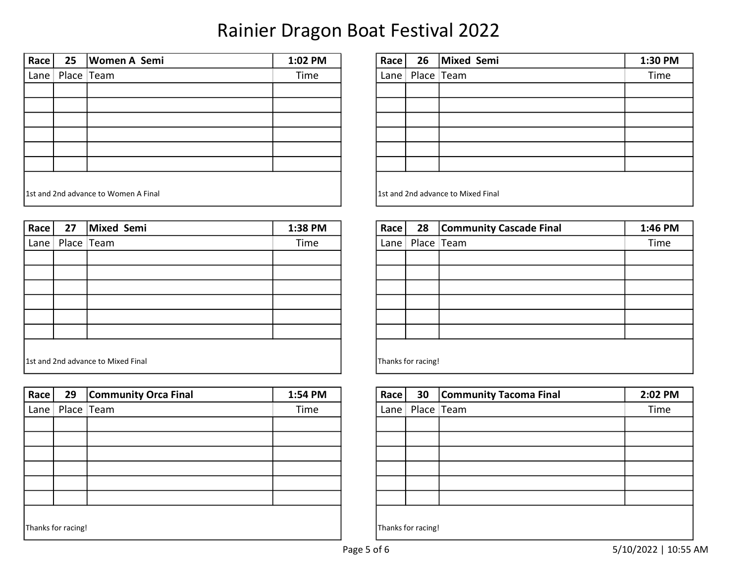| Race                                 | 25         | <b>Women A Semi</b> | 1:02 PM | Race | 26 | Mixed Semi                         | 1:30 PM |
|--------------------------------------|------------|---------------------|---------|------|----|------------------------------------|---------|
| Lane                                 | Place Team |                     | Time    |      |    | Lane   Place $ $ Team              | Time    |
|                                      |            |                     |         |      |    |                                    |         |
|                                      |            |                     |         |      |    |                                    |         |
|                                      |            |                     |         |      |    |                                    |         |
|                                      |            |                     |         |      |    |                                    |         |
|                                      |            |                     |         |      |    |                                    |         |
|                                      |            |                     |         |      |    |                                    |         |
| 1st and 2nd advance to Women A Final |            |                     |         |      |    | 1st and 2nd advance to Mixed Final |         |

| $\sf Race$                         | 27                    | Mixed Semi | 1:38 PM | $\textsf{Race}$ |                    | 28 Community Cascade Final | 1:46 PM |
|------------------------------------|-----------------------|------------|---------|-----------------|--------------------|----------------------------|---------|
|                                    | Lane   Place $ $ Team |            | Time    |                 |                    | Lane   Place $ $ Team      | Time    |
|                                    |                       |            |         |                 |                    |                            |         |
|                                    |                       |            |         |                 |                    |                            |         |
|                                    |                       |            |         |                 |                    |                            |         |
|                                    |                       |            |         |                 |                    |                            |         |
|                                    |                       |            |         |                 |                    |                            |         |
|                                    |                       |            |         |                 |                    |                            |         |
|                                    |                       |            |         |                 |                    |                            |         |
| 1st and 2nd advance to Mixed Final |                       |            |         |                 | Thanks for racing! |                            |         |

| Race     | 29                 | <b>Community Orca Final</b> | 1:54 PM | Race               | 30 | <b>Community Tacoma Final</b> | 2:02 PM |  |
|----------|--------------------|-----------------------------|---------|--------------------|----|-------------------------------|---------|--|
| Lane $ $ |                    | Place Team                  | Time    | Lane $ $           |    | Place Team                    | Time    |  |
|          |                    |                             |         |                    |    |                               |         |  |
|          |                    |                             |         |                    |    |                               |         |  |
|          |                    |                             |         |                    |    |                               |         |  |
|          |                    |                             |         |                    |    |                               |         |  |
|          |                    |                             |         |                    |    |                               |         |  |
|          |                    |                             |         |                    |    |                               |         |  |
|          |                    |                             |         |                    |    |                               |         |  |
|          | Thanks for racing! |                             |         | Thanks for racing! |    |                               |         |  |

| Race                               | 26         | Mixed Semi | 1:30 PM |  |  |  |
|------------------------------------|------------|------------|---------|--|--|--|
| Lane                               | Place Team |            | Time    |  |  |  |
|                                    |            |            |         |  |  |  |
|                                    |            |            |         |  |  |  |
|                                    |            |            |         |  |  |  |
|                                    |            |            |         |  |  |  |
|                                    |            |            |         |  |  |  |
|                                    |            |            |         |  |  |  |
| 1st and 2nd advance to Mixed Final |            |            |         |  |  |  |

| Race               | 28         | <b>Community Cascade Final</b> | 1:46 PM |  |  |  |
|--------------------|------------|--------------------------------|---------|--|--|--|
| Lane               | Place Team |                                | Time    |  |  |  |
|                    |            |                                |         |  |  |  |
|                    |            |                                |         |  |  |  |
|                    |            |                                |         |  |  |  |
|                    |            |                                |         |  |  |  |
|                    |            |                                |         |  |  |  |
|                    |            |                                |         |  |  |  |
|                    |            |                                |         |  |  |  |
| Thanks for racing! |            |                                |         |  |  |  |

| Race               | 30         | <b>Community Tacoma Final</b> | 2:02 PM |  |  |  |
|--------------------|------------|-------------------------------|---------|--|--|--|
| Lane               | Place Team |                               | Time    |  |  |  |
|                    |            |                               |         |  |  |  |
|                    |            |                               |         |  |  |  |
|                    |            |                               |         |  |  |  |
|                    |            |                               |         |  |  |  |
|                    |            |                               |         |  |  |  |
|                    |            |                               |         |  |  |  |
|                    |            |                               |         |  |  |  |
| Thanks for racing! |            |                               |         |  |  |  |